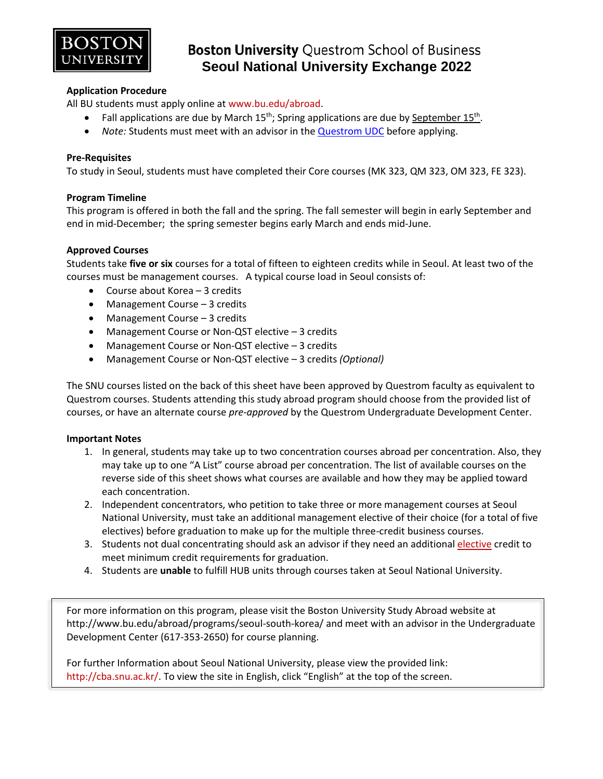

## **Boston University Questrom School of Business Seoul National University Exchange 2022**

### **Application Procedure**

All BU students must apply online at [www.bu.edu/abroad.](http://www.bu.edu/abroad)

- Fall applications are due by March  $15<sup>th</sup>$ ; Spring applications are due by September  $15<sup>th</sup>$ .
- *Note:* Students must meet with an advisor in th[e Questrom UDC](http://questromworld.bu.edu/studyabroad/advising/) before applying.

### **Pre-Requisites**

To study in Seoul, students must have completed their Core courses (MK 323, QM 323, OM 323, FE 323).

#### **Program Timeline**

This program is offered in both the fall and the spring. The fall semester will begin in early September and end in mid-December; the spring semester begins early March and ends mid-June.

### **Approved Courses**

Students take **five or six** courses for a total of fifteen to eighteen credits while in Seoul. At least two of the courses must be management courses. A typical course load in Seoul consists of:

- Course about Korea 3 credits
- Management Course 3 credits
- Management Course 3 credits
- Management Course or Non-QST elective 3 credits
- Management Course or Non-QST elective 3 credits
- Management Course or Non-QST elective 3 credits *(Optional)*

The SNU courses listed on the back of this sheet have been approved by Questrom faculty as equivalent to Questrom courses. Students attending this study abroad program should choose from the provided list of courses, or have an alternate course *pre-approved* by the Questrom Undergraduate Development Center.

### **Important Notes**

- 1. In general, students may take up to two concentration courses abroad per concentration. Also, they may take up to one "A List" course abroad per concentration. The list of available courses on the reverse side of this sheet shows what courses are available and how they may be applied toward each concentration.
- 2. Independent concentrators, who petition to take three or more management courses at Seoul National University, must take an additional management elective of their choice (for a total of five electives) before graduation to make up for the multiple three-credit business courses.
- 3. Students not dual concentrating should ask an advisor if they need an additiona[l elective](http://smgworld.bu.edu/upo/academics/electives/#free) credit to meet minimum credit requirements for graduation.
- 4. Students are **unable** to fulfill HUB units through courses taken at Seoul National University.

For more information on this program, please visit the Boston University Study Abroad website at http://www.bu.edu/abroad/programs/seoul-south-korea/ and meet with an advisor in the Undergraduate Development Center (617-353-2650) for course planning.

For further Information about Seoul National University, please view the provided link: [http://cba.snu.ac.kr/.](http://cba.snu.ac.kr/) To view the site in English, click "English" at the top of the screen.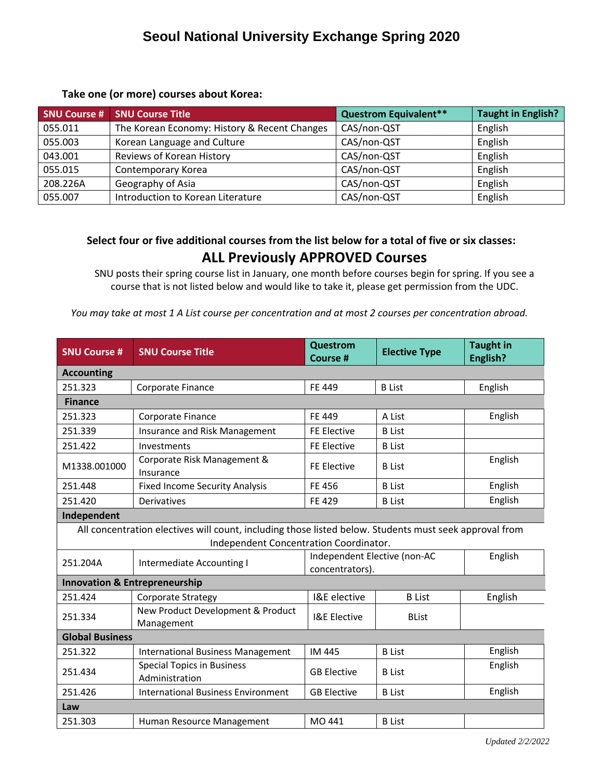## **Seoul National University Exchange Spring 2020**

### **Take one (or more) courses about Korea:**

| <b>SNU Course #</b> | <b>SNU Course Title</b>                      | <b>Questrom Equivalent**</b> | <b>Taught in English?</b> |
|---------------------|----------------------------------------------|------------------------------|---------------------------|
| 055.011             | The Korean Economy: History & Recent Changes | CAS/non-QST                  | English                   |
| 055.003             | Korean Language and Culture                  | CAS/non-QST                  | English                   |
| 043.001             | Reviews of Korean History                    | CAS/non-QST                  | English                   |
| 055.015             | Contemporary Korea                           | CAS/non-QST                  | English                   |
| 208.226A            | Geography of Asia                            | CAS/non-QST                  | English                   |
| 055.007             | Introduction to Korean Literature            | CAS/non-QST                  | English                   |

### **Select four or five additional courses from the list below for a total of five or six classes: ALL Previously APPROVED Courses**

SNU posts their spring course list in January, one month before courses begin for spring. If you see a course that is not listed below and would like to take it, please get permission from the UDC.

*You may take at most 1 A List course per concentration and at most 2 courses per concentration abroad.*

| <b>SNU Course #</b>                                                                                                                              | <b>SNU Course Title</b>                             | <b>Questrom</b><br><b>Course #</b>                         | <b>Elective Type</b> | <b>Taught in</b><br>English? |
|--------------------------------------------------------------------------------------------------------------------------------------------------|-----------------------------------------------------|------------------------------------------------------------|----------------------|------------------------------|
| <b>Accounting</b>                                                                                                                                |                                                     |                                                            |                      |                              |
| 251.323                                                                                                                                          | Corporate Finance                                   | FE 449                                                     | <b>B</b> List        | English                      |
| <b>Finance</b>                                                                                                                                   |                                                     |                                                            |                      |                              |
| 251.323                                                                                                                                          | Corporate Finance                                   | FE 449                                                     | A List               | English                      |
| 251.339                                                                                                                                          | Insurance and Risk Management                       | <b>FE Elective</b>                                         | <b>B</b> List        |                              |
| 251.422                                                                                                                                          | Investments                                         | <b>FE Elective</b>                                         | <b>B</b> List        |                              |
| M1338.001000                                                                                                                                     | Corporate Risk Management &<br>Insurance            | <b>FE Elective</b>                                         | <b>B</b> List        | English                      |
| 251.448                                                                                                                                          | <b>Fixed Income Security Analysis</b>               | FE 456                                                     | <b>B</b> List        | English                      |
| 251.420                                                                                                                                          | Derivatives                                         | FE 429                                                     | <b>B</b> List        | English                      |
| Independent                                                                                                                                      |                                                     |                                                            |                      |                              |
| All concentration electives will count, including those listed below. Students must seek approval from<br>Independent Concentration Coordinator. |                                                     |                                                            |                      |                              |
| 251.204A                                                                                                                                         | Intermediate Accounting I                           | Independent Elective (non-AC<br>English<br>concentrators). |                      |                              |
|                                                                                                                                                  | <b>Innovation &amp; Entrepreneurship</b>            |                                                            |                      |                              |
| 251.424                                                                                                                                          | Corporate Strategy                                  | I&E elective                                               | <b>B</b> List        | English                      |
| 251.334                                                                                                                                          | New Product Development & Product<br>Management     | <b>I&amp;E Elective</b>                                    | <b>BList</b>         |                              |
| <b>Global Business</b>                                                                                                                           |                                                     |                                                            |                      |                              |
| 251.322                                                                                                                                          | <b>International Business Management</b>            | <b>IM 445</b>                                              | <b>B</b> List        | English                      |
| 251.434                                                                                                                                          | <b>Special Topics in Business</b><br>Administration | <b>GB Elective</b>                                         | <b>B</b> List        | English                      |
| 251.426                                                                                                                                          | <b>International Business Environment</b>           | <b>GB Elective</b>                                         | <b>B</b> List        | English                      |
| Law                                                                                                                                              |                                                     |                                                            |                      |                              |
| 251.303                                                                                                                                          | Human Resource Management                           | MO 441                                                     | <b>B</b> List        |                              |